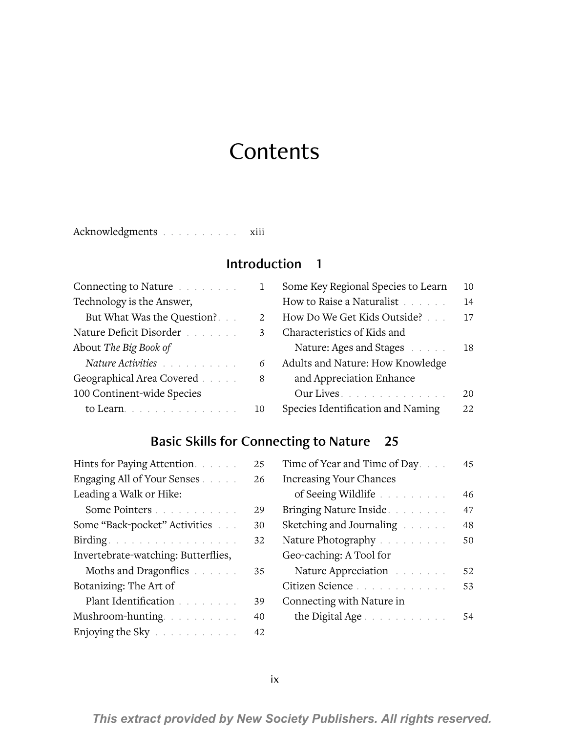# **Contents**

Acknowledgments . . . . . . . . . xiii

#### Introduction 1

| Connecting to Nature                                                                                           |    |
|----------------------------------------------------------------------------------------------------------------|----|
| Technology is the Answer,                                                                                      |    |
| But What Was the Question?                                                                                     | 2. |
| Nature Deficit Disorder                                                                                        | 3  |
| About The Big Book of                                                                                          |    |
| Nature Activities and a material contract to the set of the set of the set of the set of the set of the set of |    |
| Geographical Area Covered                                                                                      | 8  |
| 100 Continent-wide Species                                                                                     |    |
| to Learn                                                                                                       |    |
|                                                                                                                |    |

| Some Key Regional Species to Learn | 10 |
|------------------------------------|----|
| How to Raise a Naturalist          | 14 |
| How Do We Get Kids Outside?        | 17 |
| Characteristics of Kids and        |    |
| Nature: Ages and Stages            | 18 |
| Adults and Nature: How Knowledge   |    |
| and Appreciation Enhance           |    |
| Our Lives                          | 20 |
| Species Identification and Naming  | 22 |

## Basic Skills for Connecting to Nature 25

| Hints for Paying Attention.         | 25 |
|-------------------------------------|----|
| Engaging All of Your Senses         | 26 |
| Leading a Walk or Hike:             |    |
| Some Pointers                       | 29 |
| Some "Back-pocket" Activities       | 30 |
| Birding.                            | 32 |
| Invertebrate-watching: Butterflies, |    |
| Moths and Dragonflies               | 35 |
| Botanizing: The Art of              |    |
| Plant Identification                | 39 |
| Mushroom-hunting                    | 40 |
| Enjoying the Sky                    | 42 |
|                                     |    |

| Time of Year and Time of Day   | 45 |
|--------------------------------|----|
| <b>Increasing Your Chances</b> |    |
| of Seeing Wildlife             | 46 |
| Bringing Nature Inside.        | 47 |
| Sketching and Journaling       | 48 |
| Nature Photography             | 50 |
| Geo-caching: A Tool for        |    |
| Nature Appreciation            | 52 |
| Citizen Science                | 53 |
| Connecting with Nature in      |    |
| the Digital Age                |    |
|                                |    |

*This extract provided by New Society Publishers. All rights reserved.*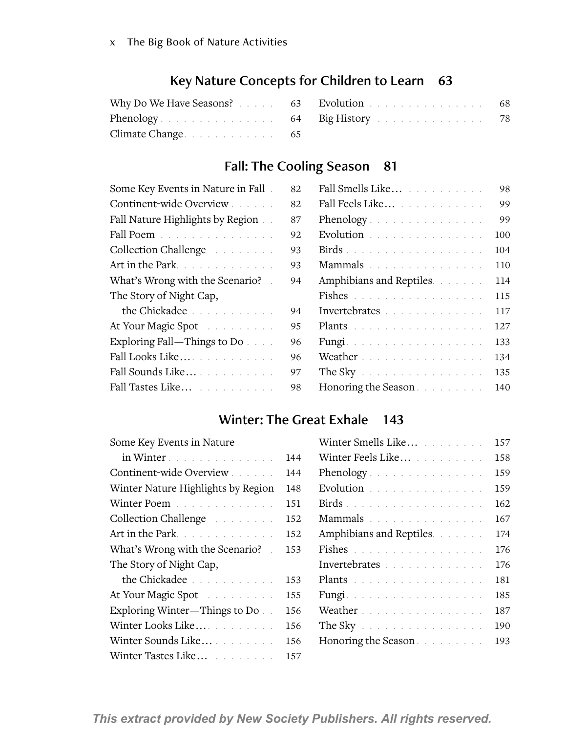## Key Nature Concepts for Children to Learn 63

|                 | Why Do We Have Seasons? 63 Evolution 68 |  |
|-----------------|-----------------------------------------|--|
|                 | Phenology 64 Big History 78             |  |
| Climate Change. |                                         |  |

## Fall: The Cooling Season 81

| Some Key Events in Nature in Fall. | 82 |
|------------------------------------|----|
| Continent-wide Overview            | 82 |
| Fall Nature Highlights by Region.  | 87 |
| Fall Poem                          | 92 |
| Collection Challenge               | 93 |
| Art in the Park.                   | 93 |
| What's Wrong with the Scenario?    | 94 |
| The Story of Night Cap,            |    |
| the Chickadee                      | 94 |
| At Your Magic Spot                 | 95 |
| Exploring Fall-Things to Do        | 96 |
| Fall Looks Like                    | 96 |
| Fall Sounds Like                   | 97 |
| Fall Tastes Like                   | 98 |
|                                    |    |

| 2.             | Fall Smells Like                               | 98  |
|----------------|------------------------------------------------|-----|
| $2^{\circ}$    | Fall Feels Like                                | 99  |
| :7             | Phenology                                      | 99  |
| $\overline{2}$ | Evolution $\ldots \ldots \ldots \ldots \ldots$ | 100 |
| $\overline{3}$ |                                                | 104 |
| $\overline{3}$ | Mammals                                        | 110 |
| $\overline{4}$ | Amphibians and Reptiles.                       | 114 |
|                | Fishes                                         | 115 |
| $\overline{4}$ | Invertebrates                                  | 117 |
| 5              | Plants                                         | 127 |
| 6              | Fungi                                          | 133 |
| 16             | Weather                                        | 134 |
| 17             | The Sky                                        | 135 |
| Ιg             | Honoring the Season                            | 140 |

#### Winter: The Great Exhale 143

| Some Key Events in Nature          |     | Winter Smells Like       | 157 |
|------------------------------------|-----|--------------------------|-----|
| in Winter                          | 144 | Winter Feels Like        | 158 |
| Continent-wide Overview            | 144 | Phenology                | 159 |
| Winter Nature Highlights by Region | 148 | Evolution                | 159 |
| Winter Poem                        | 151 | Birds.                   | 162 |
| Collection Challenge               | 152 | Mammals                  | 167 |
| Art in the Park                    | 152 | Amphibians and Reptiles. | 174 |
| What's Wrong with the Scenario?    | 153 | Fishes                   | 176 |
| The Story of Night Cap,            |     | Invertebrates            | 176 |
| the Chickadee                      | 153 | Plants                   | 181 |
| At Your Magic Spot                 | 155 | Fungi.                   | 185 |
| Exploring Winter-Things to Do.     | 156 | Weather                  | 187 |
| Winter Looks Like                  | 156 | The Sky $\ldots$         | 190 |
| Winter Sounds Like                 | 156 | Honoring the Season      | 193 |
| Winter Tastes Like                 | 157 |                          |     |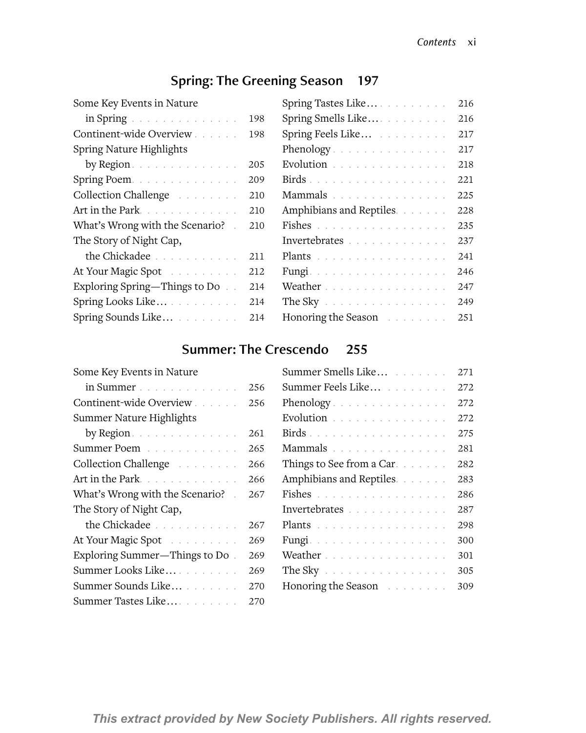## Spring: The Greening Season 197

| Some Key Events in Nature                                              |     |
|------------------------------------------------------------------------|-----|
| $\text{in Spring} \quad \ldots \quad \ldots \quad \ldots \quad \ldots$ | 198 |
| Continent-wide Overview                                                | 198 |
| Spring Nature Highlights                                               |     |
| by Region.                                                             | 205 |
| Spring Poem.                                                           | 209 |
| Collection Challenge                                                   | 210 |
| Art in the Park                                                        | 210 |
| What's Wrong with the Scenario? .                                      | 210 |
| The Story of Night Cap,                                                |     |
| the Chickadee                                                          | 211 |
| At Your Magic Spot                                                     | 212 |
| Exploring Spring—Things to Do.                                         | 214 |
| Spring Looks Like                                                      | 214 |
| Spring Sounds Like                                                     | 214 |

| Spring Tastes Like       |  |  | 216 |
|--------------------------|--|--|-----|
| Spring Smells Like       |  |  | 216 |
| Spring Feels Like        |  |  | 217 |
| Phenology                |  |  | 217 |
| Evolution                |  |  | 218 |
|                          |  |  | 221 |
| Mammals                  |  |  | 225 |
| Amphibians and Reptiles. |  |  | 228 |
| Fishes                   |  |  | 235 |
| Invertebrates            |  |  | 237 |
| Plants                   |  |  | 241 |
| Fungi.                   |  |  | 246 |
| Weather                  |  |  | 247 |
| The Sky $\ldots$         |  |  | 249 |
| Honoring the Season      |  |  | 251 |
|                          |  |  |     |

## Summer: The Crescendo 255

| Some Key Events in Nature       |     |
|---------------------------------|-----|
| in Summer                       | 256 |
| Continent-wide Overview         | 256 |
| Summer Nature Highlights        |     |
| by Region.                      | 261 |
| Summer Poem                     | 265 |
| Collection Challenge            | 266 |
| Art in the Park                 | 266 |
| What's Wrong with the Scenario? | 267 |
| The Story of Night Cap,         |     |
| the Chickadee                   | 267 |
| At Your Magic Spot              | 269 |
| Exploring Summer-Things to Do.  | 269 |
| Summer Looks Like               | 269 |
| Summer Sounds Like              | 270 |
| Summer Tastes Like              | 270 |
|                                 |     |

| Summer Smells Like        |  |  |  |  | 271 |
|---------------------------|--|--|--|--|-----|
| Summer Feels Like         |  |  |  |  | 272 |
| Phenology                 |  |  |  |  | 272 |
| Evolution                 |  |  |  |  | 272 |
|                           |  |  |  |  | 275 |
| Mammals                   |  |  |  |  | 281 |
| Things to See from a Car. |  |  |  |  | 282 |
| Amphibians and Reptiles.  |  |  |  |  | 283 |
| Fishes                    |  |  |  |  | 286 |
| Invertebrates             |  |  |  |  | 287 |
| Plants                    |  |  |  |  | 298 |
| Fungi                     |  |  |  |  | 300 |
| Weather                   |  |  |  |  | 301 |
| The Sky                   |  |  |  |  | 305 |
| Honoring the Season       |  |  |  |  | 309 |
|                           |  |  |  |  |     |

*This extract provided by New Society Publishers. All rights reserved.*